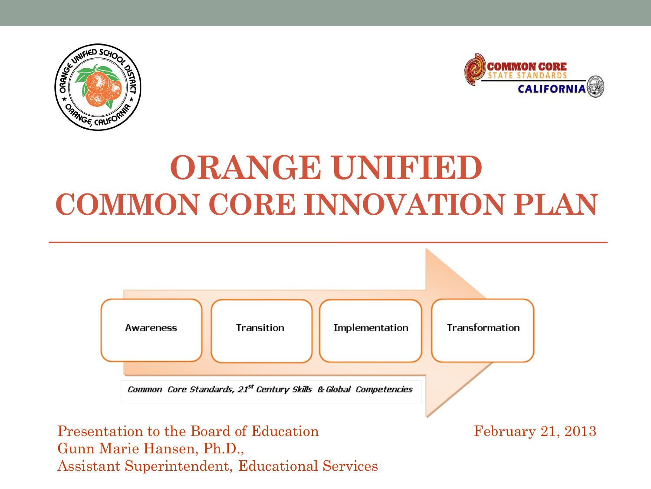



## **ORANGE UNIFIED COMMON CORE INNOVATION PLAN**



Assistant Superintendent, Educational Services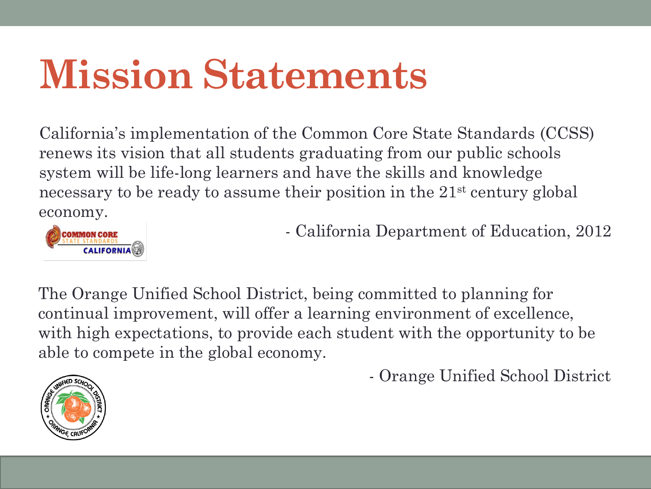# **Mission Statements**

California's implementation of the Common Core State Standards (CCSS) renews its vision that all students graduating from our public schools system will be life-long learners and have the skills and knowledge necessary to be ready to assume their position in the 21<sup>st</sup> century global economy.



- California Department of Education, 2012

The Orange Unified School District, being committed to planning for continual improvement, will offer a learning environment of excellence, with high expectations, to provide each student with the opportunity to be able to compete in the global economy.

- Orange Unified School District

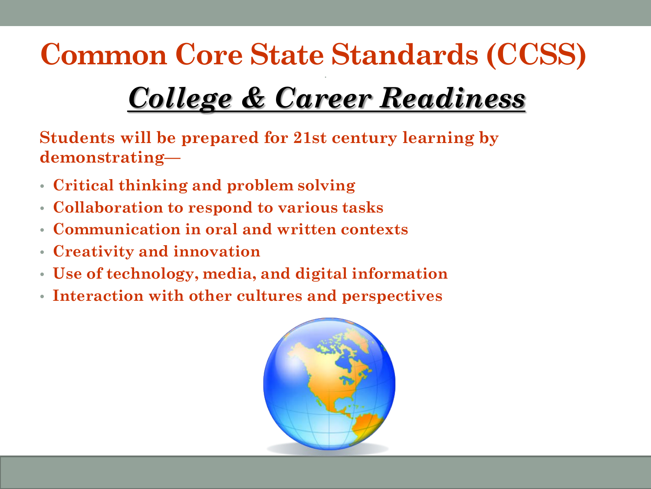## **Common Core State Standards (CCSS)**

### *College & Career Readiness*

•

**Students will be prepared for 21st century learning by demonstrating—**

- **Critical thinking and problem solving**
- **Collaboration to respond to various tasks**
- **Communication in oral and written contexts**
- **Creativity and innovation**
- **Use of technology, media, and digital information**
- **Interaction with other cultures and perspectives**

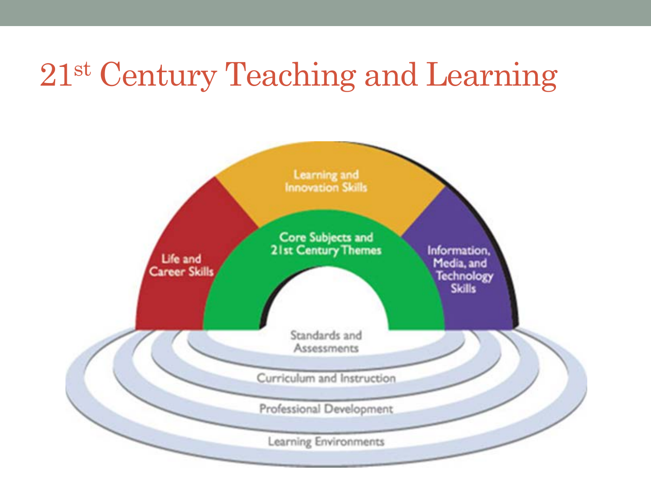### 21st Century Teaching and Learning

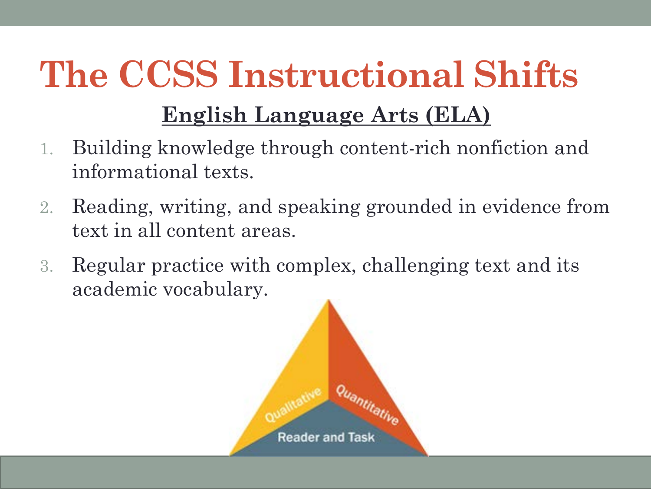# **The CCSS Instructional Shifts**

#### **English Language Arts (ELA)**

- 1. Building knowledge through content-rich nonfiction and informational texts.
- 2. Reading, writing, and speaking grounded in evidence from text in all content areas.
- 3. Regular practice with complex, challenging text and its academic vocabulary.

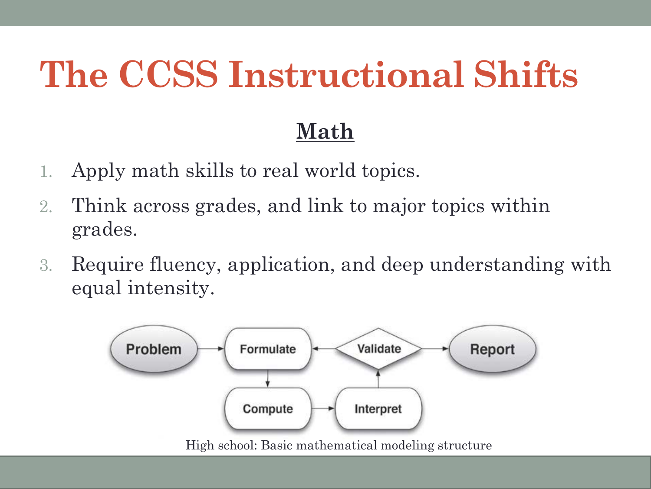## **The CCSS Instructional Shifts**

#### **Math**

- 1. Apply math skills to real world topics.
- 2. Think across grades, and link to major topics within grades.
- 3. Require fluency, application, and deep understanding with equal intensity.

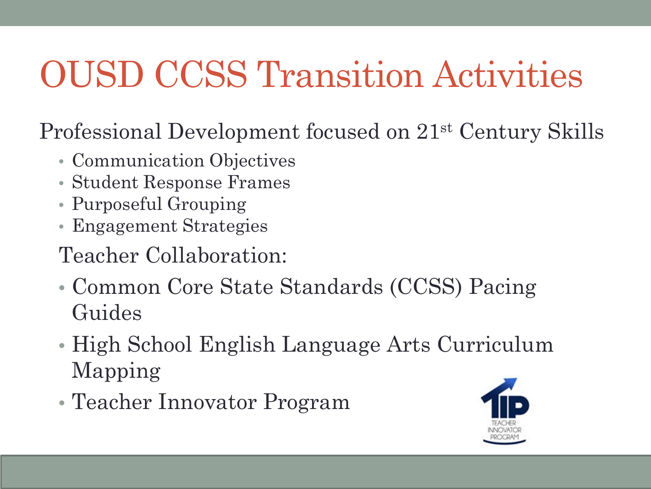# OUSD CCSS Transition Activities

Professional Development focused on 21st Century Skills

- Communication Objectives
- Student Response Frames
- Purposeful Grouping
- Engagement Strategies
- Teacher Collaboration:
- Common Core State Standards (CCSS) Pacing Guides
- High School English Language Arts Curriculum Mapping
- Teacher Innovator Program